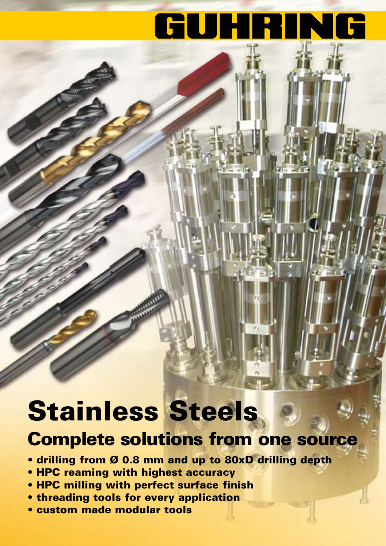# GUHRING

# Stainless Steels

# Complete solutions from one source

- drilling from Ø 0.8 mm and up to 80xD drilling depth
- HPC reaming with highest accuracy
- HPC milling with perfect surface finish
- threading tools for every application
- custom made modular tools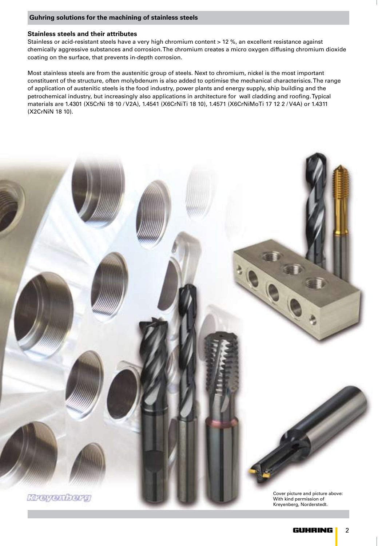# **Stainless steels and their attributes**

Stainless or acid-resistant steels have a very high chromium content > 12 %, an excellent resistance against chemically aggressive substances and corrosion. The chromium creates a micro oxygen diffusing chromium dioxide coating on the surface, that prevents in-depth corrosion.

Most stainless steels are from the austenitic group of steels. Next to chromium, nickel is the most important constituent of the structure, often molybdenum is also added to optimise the mechanical characterisics. The range of application of austenitic steels is the food industry, power plants and energy supply, ship building and the petrochemical industry, but increasingly also applications in architecture for wall cladding and roofing. Typical materials are 1.4301 (X5CrNi 18 10 / V2A), 1.4541 (X6CrNiTi 18 10), 1.4571 (X6CrNiMoTi 17 12 2 / V4A) or 1.4311 (X2CrNiN 18 10).

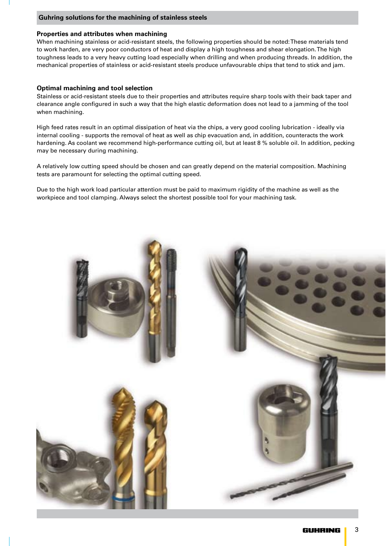#### **Guhring solutions for the machining of stainless steels**

#### **Properties and attributes when machining**

When machining stainless or acid-resistant steels, the following properties should be noted: These materials tend to work harden, are very poor conductors of heat and display a high toughness and shear elongation. The high toughness leads to a very heavy cutting load especially when drilling and when producing threads. In addition, the mechanical properties of stainless or acid-resistant steels produce unfavourable chips that tend to stick and jam.

#### **Optimal machining and tool selection**

Stainless or acid-resistant steels due to their properties and attributes require sharp tools with their back taper and clearance angle configured in such a way that the high elastic deformation does not lead to a jamming of the tool when machining.

High feed rates result in an optimal dissipation of heat via the chips, a very good cooling lubrication - ideally via internal cooling - supports the removal of heat as well as chip evacuation and, in addition, counteracts the work hardening. As coolant we recommend high-performance cutting oil, but at least 8 % soluble oil. In addition, pecking may be necessary during machining.

A relatively low cutting speed should be chosen and can greatly depend on the material composition. Machining tests are paramount for selecting the optimal cutting speed.

Due to the high work load particular attention must be paid to maximum rigidity of the machine as well as the workpiece and tool clamping. Always select the shortest possible tool for your machining task.

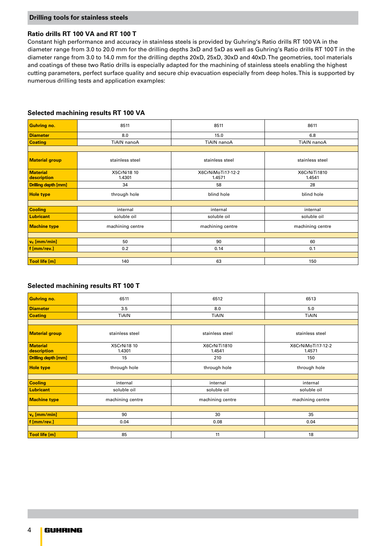# **Ratio drills RT 100 VA and RT 100 T**

Constant high performance and accuracy in stainless steels is provided by Guhring's Ratio drills RT 100 VA in the diameter range from 3.0 to 20.0 mm for the drilling depths 3xD and 5xD as well as Guhring's Ratio drills RT 100T in the diameter range from 3.0 to 14.0 mm for the drilling depths 20xD, 25xD, 30xD and 40xD. The geometries, tool materials and coatings of these two Ratio drills is especially adapted for the machining of stainless steels enabling the highest cutting parameters, perfect surface quality and secure chip evacuation especially from deep holes. This is supported by numerous drilling tests and application examples:

#### **Selected machining results RT 100 VA**

| <b>Guhring no.</b>             | 8511                  | 8511                        | 8611                   |
|--------------------------------|-----------------------|-----------------------------|------------------------|
| <b>Diameter</b>                | 8.0                   | 15.0                        | 6.8                    |
| <b>Coating</b>                 | TiAIN nanoA           | <b>TiAIN</b> nanoA          | TiAIN nanoA            |
|                                |                       |                             |                        |
| <b>Material group</b>          | stainless steel       | stainless steel             | stainless steel        |
| <b>Material</b><br>description | X5CrNi18 10<br>1.4301 | X6CrNiMoTi17-12-2<br>1.4571 | X6CrNiTi1810<br>1.4541 |
| <b>Drilling depth [mm]</b>     | 34                    | 58                          | 28                     |
| <b>Hole type</b>               | through hole          | blind hole                  | blind hole             |
|                                |                       |                             |                        |
| <b>Cooling</b>                 | internal              | internal                    | internal               |
| <b>Lubricant</b>               | soluble oil           | soluble oil                 | soluble oil            |
| <b>Machine type</b>            | machining centre      | machining centre            | machining centre       |
|                                |                       |                             |                        |
| $v_c$ [mm/min]                 | 50                    | 90                          | 60                     |
| f [mm/rev.]                    | 0.2                   | 0.14                        | 0.1                    |
|                                |                       |                             |                        |
| Tool life [m]                  | 140                   | 63                          | 150                    |

### **Selected machining results RT 100 T**

| <b>Guhring no.</b>             | 6511                         | 6512                   | 6513                        |
|--------------------------------|------------------------------|------------------------|-----------------------------|
| <b>Diameter</b>                | 3.5                          | 8.0                    | 5.0                         |
| <b>Coating</b>                 | <b>TiAIN</b>                 | <b>TiAIN</b>           | <b>TiAIN</b>                |
|                                |                              |                        |                             |
| <b>Material group</b>          | stainless steel              | stainless steel        | stainless steel             |
| <b>Material</b><br>description | <b>X5CrNi18 10</b><br>1.4301 | X6CrNiTi1810<br>1.4541 | X6CrNiMoTi17-12-2<br>1.4571 |
| <b>Drilling depth [mm]</b>     | 15                           | 210                    | 150                         |
| <b>Hole type</b>               | through hole                 | through hole           | through hole                |
|                                |                              |                        |                             |
| <b>Cooling</b>                 | internal                     | internal               | internal                    |
| <b>Lubricant</b>               | soluble oil                  | soluble oil            | soluble oil                 |
| <b>Machine type</b>            | machining centre             | machining centre       | machining centre            |
|                                |                              |                        |                             |
| $v_c$ [mm/min]                 | 90                           | 30                     | 35                          |
| $f$ [mm/rev.]                  | 0.04                         | 0.08                   | 0.04                        |
|                                |                              |                        |                             |
| Tool life [m]                  | 85                           | 11                     | 18                          |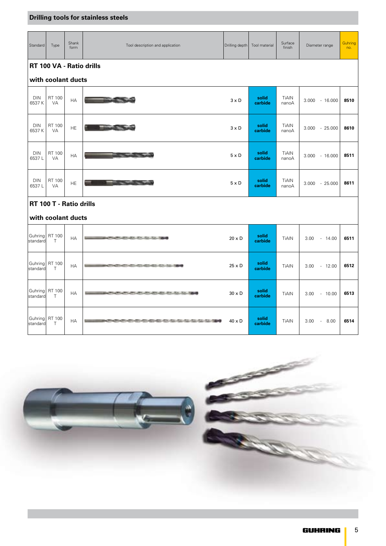| Standard            | Type                                          | Shank<br>form | Tool description and application           | Drilling depth | Tool material    | Surface<br>finish     | Diameter range   | Guhring<br>no. |
|---------------------|-----------------------------------------------|---------------|--------------------------------------------|----------------|------------------|-----------------------|------------------|----------------|
|                     |                                               |               | RT 100 VA - Ratio drills                   |                |                  |                       |                  |                |
|                     | with coolant ducts                            |               |                                            |                |                  |                       |                  |                |
| <b>DIN</b><br>6537K | RT 100<br>VA                                  | <b>HA</b>     |                                            | $3 \times D$   | solid<br>carbide | TiAIN<br>nanoA        | $3.000 - 16.000$ | 8510           |
| <b>DIN</b><br>6537K | RT 100<br><b>VA</b>                           | HE.           |                                            | $3 \times D$   | solid<br>carbide | TiAIN<br>nanoA        | $3.000 - 25.000$ | 8610           |
| <b>DIN</b><br>6537L | RT 100<br><b>VA</b>                           | HA            |                                            | $5 \times D$   | solid<br>carbide | <b>TiAIN</b><br>nanoA | $3.000 - 16.000$ | 8511           |
| <b>DIN</b><br>6537L | RT 100<br>VA                                  | HE.           |                                            | $5 \times D$   | solid<br>carbide | <b>TiAIN</b><br>nanoA | $3.000 - 25.000$ | 8611           |
|                     | RT 100 T - Ratio drills<br>with coolant ducts |               |                                            |                |                  |                       |                  |                |
| Guhring<br>standard | RT 100<br>T.                                  | HA            | AND REAL PROPERTY.                         | $20 \times D$  | solid<br>carbide | <b>TiAIN</b>          | 3.00<br>$-14.00$ | 6511           |
| Guhring<br>standard | RT 100<br>T.                                  | HA            | <b>CONTACTOR AND ARRANGEMENT CONTACTOR</b> | $25 \times D$  | solid<br>carbide | TiAIN                 | 3.00<br>$-12.00$ | 6512           |
| Guhring<br>standard | RT 100<br>T.                                  | HA            | <b>CONTACT AND ARRANGEMENT</b>             | $30 \times D$  | solid<br>carbide | <b>TiAIN</b>          | 3.00<br>$-10.00$ | 6513           |
| Guhring<br>standard | RT 100<br>T.                                  | НA            |                                            | $40 \times D$  | solid<br>carbide | <b>TiAIN</b>          | 3.00<br>$-8.00$  | 6514           |

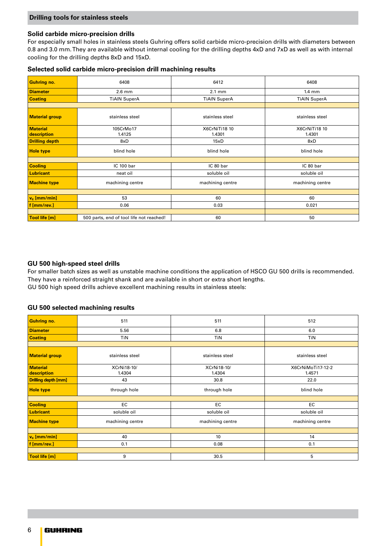# **Solid carbide micro-precision drills**

For especially small holes in stainless steels Guhring offers solid carbide micro-precision drills with diameters between 0.8 and 3.0 mm. They are available without internal cooling for the drilling depths 4xD and 7xD as well as with internal cooling for the drilling depths 8xD and 15xD.

|  |  |  | Selected solid carbide micro-precision drill machining results |  |
|--|--|--|----------------------------------------------------------------|--|
|  |  |  |                                                                |  |

| <b>Guhring no.</b>             | 6408                                     | 6412                    | 6408                    |
|--------------------------------|------------------------------------------|-------------------------|-------------------------|
| <b>Diameter</b>                | $2.6$ mm                                 | $2.1 \text{ mm}$        | $1.4 \text{ mm}$        |
| <b>Coating</b>                 | <b>TiAIN SuperA</b>                      | <b>TiAIN SuperA</b>     | <b>TiAIN SuperA</b>     |
|                                |                                          |                         |                         |
| <b>Material group</b>          | stainless steel                          | stainless steel         | stainless steel         |
| <b>Material</b><br>description | 105CrMo17<br>1.4125                      | X6CrNiTi18 10<br>1.4301 | X6CrNiTi18 10<br>1.4301 |
| <b>Drilling depth</b>          | 8xD                                      | 15xD                    | 8xD                     |
| <b>Hole type</b>               | blind hole                               | blind hole              | blind hole              |
|                                |                                          |                         |                         |
| <b>Cooling</b>                 | IC 100 bar                               | IC 80 bar               | IC 80 bar               |
| <b>Lubricant</b>               | neat oil                                 | soluble oil             | soluble oil             |
| <b>Machine type</b>            | machining centre                         | machining centre        | machining centre        |
|                                |                                          |                         |                         |
| $v_c$ [mm/min]                 | 53                                       | 60                      | 60                      |
| $f$ [mm/rev.]                  | 0.06                                     | 0.03                    | 0.021                   |
|                                |                                          |                         |                         |
| Tool life [m]                  | 500 parts, end of tool life not reached! | 60                      | 50                      |

# **GU 500 high-speed steel drills**

For smaller batch sizes as well as unstable machine conditions the application of HSCO GU 500 drills is recommended. They have a reinforced straight shank and are available in short or extra short lengths. GU 500 high speed drills achieve excellent machining results in stainless steels:

### **GU 500 selected machining results**

| Guhring no.                    | 511                   | 511                   | 512                         |
|--------------------------------|-----------------------|-----------------------|-----------------------------|
| <b>Diameter</b>                | 5.56                  | 6.8                   | 6.0                         |
| <b>Coating</b>                 | TiN                   | TiN                   | TiN                         |
|                                |                       |                       |                             |
| <b>Material group</b>          | stainless steel       | stainless steel       | stainless steel             |
| <b>Material</b><br>description | XCrNi18-10/<br>1.4304 | XCrNi18-10/<br>1.4304 | X6CrNiMoTi17-12-2<br>1.4571 |
| Drilling depth [mm]            | 43                    | 30.8                  | 22.0                        |
| <b>Hole type</b>               | through hole          | through hole          | blind hole                  |
|                                |                       |                       |                             |
| <b>Cooling</b>                 | EC                    | EC                    | EC                          |
| Lubricant                      | soluble oil           | soluble oil           | soluble oil                 |
| <b>Machine type</b>            | machining centre      | machining centre      | machining centre            |
|                                |                       |                       |                             |
| $\mathbf{v_c}$ [mm/min]        | 40                    | 10                    | 14                          |
| f [mm/rev.]                    | 0.1                   | 0.08                  | 0.1                         |
|                                |                       |                       |                             |
| Tool life [m]                  | 9                     | 30.5                  | 5                           |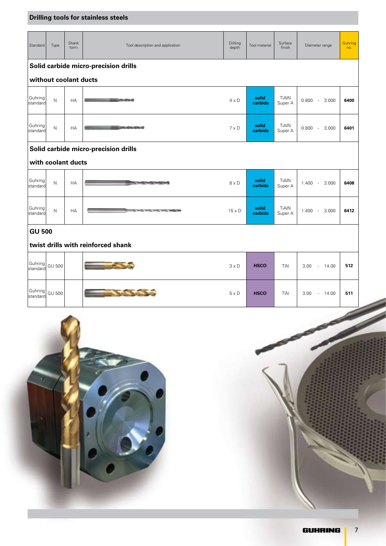| Standard                   | Type                                 | Shank<br>form         | Tool description and application                                                                                                     | Drilling<br>depth | Tool material    | Surface<br>finish       | Diameter range    | Guhring<br>no. |  |
|----------------------------|--------------------------------------|-----------------------|--------------------------------------------------------------------------------------------------------------------------------------|-------------------|------------------|-------------------------|-------------------|----------------|--|
|                            | Solid carbide micro-precision drills |                       |                                                                                                                                      |                   |                  |                         |                   |                |  |
|                            |                                      | without coolant ducts |                                                                                                                                      |                   |                  |                         |                   |                |  |
| Guhring<br>standard        | N                                    | <b>HA</b>             | -<br><b><i>COLUMN CAN</i></b>                                                                                                        | $4 \times D$      | solid<br>carbide | <b>TiAIN</b><br>Super A | $0.800 - 3.000$   | 6400           |  |
| Guhring<br><b>standard</b> | $\mathsf{N}$                         | <b>HA</b>             | <b>LESSEN</b>                                                                                                                        | $7 \times D$      | solid<br>carbide | <b>TiAIN</b><br>Super A | 0.800<br>$-3.000$ | 6401           |  |
|                            |                                      |                       | Solid carbide micro-precision drills                                                                                                 |                   |                  |                         |                   |                |  |
|                            |                                      | with coolant ducts    |                                                                                                                                      |                   |                  |                         |                   |                |  |
| Guhring<br>standard        | $\mathsf{N}$                         | <b>HA</b>             | <b><i><u>Alexander State State State State State State State State State State State State State State State State State</u></i></b> | $8 \times D$      | solid<br>carbide | <b>TiAIN</b><br>Super A | $1.400 - 3.000$   | 6408           |  |
| Guhring<br>standard        | $\mathsf{N}$                         | <b>HA</b>             | of party party and party party and                                                                                                   | $15 \times D$     | solid<br>carbide | <b>TiAIN</b><br>Super A | 1.400<br>$-3.000$ | 6412           |  |
| <b>GU 500</b>              |                                      |                       |                                                                                                                                      |                   |                  |                         |                   |                |  |
|                            |                                      |                       | twist drills with reinforced shank                                                                                                   |                   |                  |                         |                   |                |  |
| Guhring<br>standard        | <b>GU 500</b>                        |                       |                                                                                                                                      | $3 \times D$      | <b>HSCO</b>      | TiN                     | 3.00<br>$-14.00$  | 512            |  |
| Guhring<br>standard        | <b>GU 500</b>                        |                       |                                                                                                                                      | $5 \times D$      | <b>HSCO</b>      | TiN                     | 3.00<br>$-14.00$  | 511            |  |

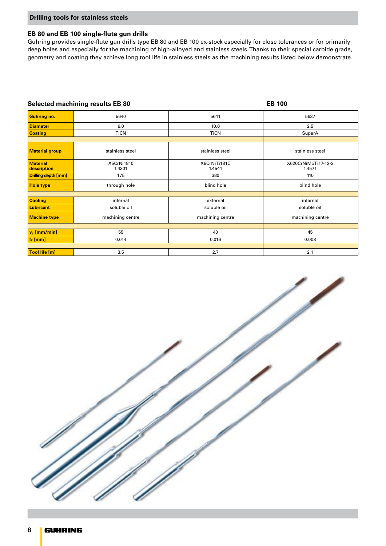### **EB 80 and EB 100 single-flute gun drills**

Guhring provides single-flute gun drills type EB 80 and EB 100 ex-stock especially for close tolerances or for primarily deep holes and especially for the machining of high-alloyed and stainless steels. Thanks to their special carbide grade, geometry and coating they achieve long tool life in stainless steels as the machining results listed below demonstrate.

|                                | <b>Selected machining results EB 80</b> |                        | <b>EB 100</b>                 |
|--------------------------------|-----------------------------------------|------------------------|-------------------------------|
| <b>Guhring no.</b>             | 5640                                    | 5641                   | 5637                          |
| <b>Diameter</b>                | 6.0                                     | 10.0                   | 2.5                           |
| <b>Coating</b>                 | <b>TiCN</b>                             | <b>TiCN</b>            | SuperA                        |
|                                |                                         |                        |                               |
| <b>Material group</b>          | stainless steel                         | stainless steel        | stainless steel               |
| <b>Material</b><br>description | X5CrNi1810<br>1.4301                    | X6CrNiTi181C<br>1.4541 | X620CrNiMoTi17-12-2<br>1.4571 |
| <b>Drilling depth [mm]</b>     | 175                                     | 380                    | 110                           |
| <b>Hole type</b>               | through hole                            | blind hole             | blind hole                    |
|                                |                                         |                        |                               |
| <b>Cooling</b>                 | internal                                | external               | internal                      |
| <b>Lubricant</b>               | soluble oil                             | soluble oil            | soluble oil                   |
| <b>Machine type</b>            | machining centre                        | machining centre       | machining centre              |
|                                |                                         |                        |                               |
| $v_c$ [mm/min]                 | 55                                      | 40                     | 45                            |
| $fz$ [mm]                      | 0.014                                   | 0.016                  | 0.008                         |
|                                |                                         |                        |                               |
| Tool life [m]                  | 3.5                                     | 2.7                    | 2.1                           |

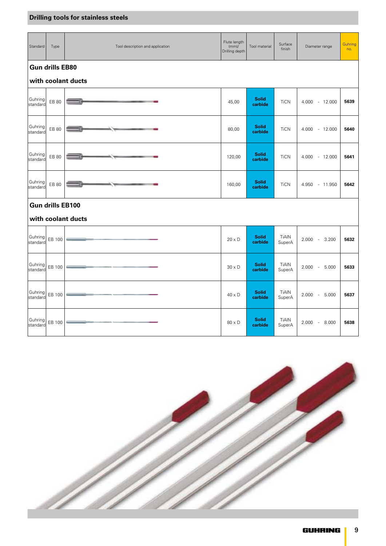| Standard            | Type                    | Tool description and application | Flute length<br>$(mm)$ /<br>Drilling depth | <b>Tool</b> material    | Surface<br>finish      | Diameter range           | Guhring<br>no. |
|---------------------|-------------------------|----------------------------------|--------------------------------------------|-------------------------|------------------------|--------------------------|----------------|
|                     | <b>Gun drills EB80</b>  |                                  |                                            |                         |                        |                          |                |
|                     |                         | with coolant ducts               |                                            |                         |                        |                          |                |
| Guhring<br>standard | EB 80                   |                                  | 45,00                                      | <b>Solid</b><br>carbide | <b>TiCN</b>            | 4.000 - 12.000           | 5639           |
| Guhring<br>standard | EB 80                   |                                  | 80,00                                      | <b>Solid</b><br>carbide | <b>TiCN</b>            | 4.000 - 12.000           | 5640           |
| Guhring<br>standard | EB 80                   |                                  | 120,00                                     | <b>Solid</b><br>carbide | <b>TiCN</b>            | 4.000 - 12.000           | 5641           |
| Guhring<br>standard | EB 80                   |                                  | 160,00                                     | <b>Solid</b><br>carbide | <b>TiCN</b>            | 4.950 - 11.950           | 5642           |
|                     | <b>Gun drills EB100</b> |                                  |                                            |                         |                        |                          |                |
|                     |                         | with coolant ducts               |                                            |                         |                        |                          |                |
| Guhring<br>standard | EB 100                  |                                  | $20 \times D$                              | <b>Solid</b><br>carbide | TiAIN<br>SuperA        | $-3.200$<br>2.000        | 5632           |
| Guhring<br>standard | EB 100                  |                                  | $30 \times D$                              | <b>Solid</b><br>carbide | <b>TiAIN</b><br>SuperA | 2.000<br>5.000<br>$\sim$ | 5633           |
| Guhring<br>standard | EB 100                  |                                  | $40 \times D$                              | <b>Solid</b><br>carbide | <b>TiAIN</b><br>SuperA | $2.000 - 5.000$          | 5637           |
| Guhring<br>standard | EB 100                  |                                  | $80 \times D$                              | <b>Solid</b><br>carbide | <b>TiAIN</b><br>SuperA | 2.000<br>$-8.000$        | 5638           |

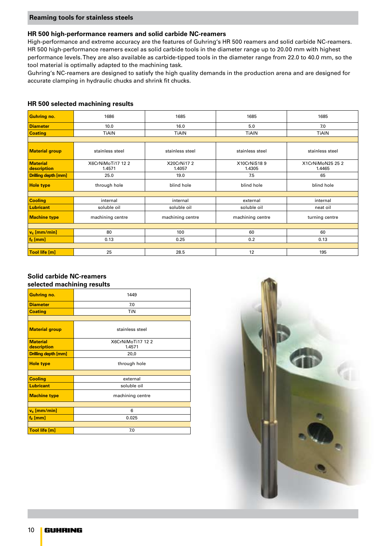### **Reaming tools for stainless steels**

# **HR 500 high-performance reamers and solid carbide NC-reamers**

High-performance and extreme accuracy are the features of Guhring's HR 500 reamers and solid carbide NC-reamers. HR 500 high-performance reamers excel as solid carbide tools in the diameter range up to 20.00 mm with highest performance levels. They are also available as carbide-tipped tools in the diameter range from 22.0 to 40.0 mm, so the tool material is optimally adapted to the machining task.

Guhring's NC-reamers are designed to satisfy the high quality demands in the production arena and are designed for accurate clamping in hydraulic chucks and shrink fit chucks.

# **HR 500 selected machining results**

| <b>Guhring no.</b>             | 1686                        | 1685                  | 1685                  | 1685                       |
|--------------------------------|-----------------------------|-----------------------|-----------------------|----------------------------|
| <b>Diameter</b>                | 10.0                        | 16.0                  | 5.0                   | 7.0                        |
| <b>Coating</b>                 | <b>TiAIN</b>                | <b>TiAIN</b>          | <b>TiAIN</b>          | <b>TiAIN</b>               |
|                                |                             |                       |                       |                            |
| <b>Material group</b>          | stainless steel             | stainless steel       | stainless steel       | stainless steel            |
| <b>Material</b><br>description | X6CrNiMoTi17 12 2<br>1.4571 | X20CrNi17 2<br>1.4057 | X10CrNiS189<br>1.4305 | X1CrNiMoN25 25 2<br>1.4465 |
| <b>Drilling depth [mm]</b>     | 25.0                        | 19.0                  | 7.5                   | 65                         |
| <b>Hole type</b>               | through hole                | blind hole            | blind hole            | blind hole                 |
|                                |                             |                       |                       |                            |
| <b>Cooling</b>                 | internal                    | internal              | external              | internal                   |
| <b>Lubricant</b>               | soluble oil                 | soluble oil           | soluble oil           | neat oil                   |
| <b>Machine type</b>            | machining centre            | machining centre      | machining centre      | turning centre             |
|                                |                             |                       |                       |                            |
| $v_c$ [mm/min]                 | 80                          | 100                   | 60                    | 60                         |
| $fz$ [mm]                      | 0.13                        | 0.25                  | 0.2                   | 0.13                       |
|                                |                             |                       |                       |                            |
| Tool life [m]                  | 25                          | 28.5                  | 12                    | 195                        |

### **Solid carbide NC-reamers selected machining results**

| <b>Guhring no.</b>             | 1449                        |
|--------------------------------|-----------------------------|
| <b>Diameter</b>                | 7.0                         |
| <b>Coating</b>                 | TiN                         |
|                                |                             |
| <b>Material group</b>          | stainless steel             |
| <b>Material</b><br>description | X6CrNiMoTi17 12 2<br>1.4571 |
| <b>Drilling depth [mm]</b>     | 20,0                        |
| <b>Hole type</b>               | through hole                |
|                                |                             |
| <b>Cooling</b>                 | external                    |
| <b>Lubricant</b>               | soluble oil                 |
| <b>Machine type</b>            | machining centre            |
|                                |                             |
| $v_c$ [mm/min]                 | 6                           |
| $fz$ [mm]                      | 0.025                       |
|                                |                             |
| Tool life [m]                  | 7.0                         |

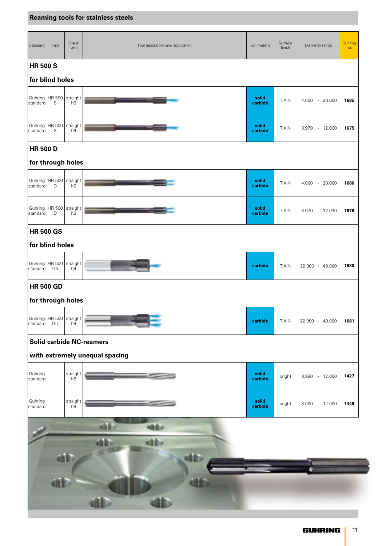# **Reaming tools for stainless steels**

| Standard                     | Type                              | Shank<br>form               | Tool description and application | Tool material    | Surface<br>finish | Diameter range   | Guhring<br>no. |
|------------------------------|-----------------------------------|-----------------------------|----------------------------------|------------------|-------------------|------------------|----------------|
| <b>HR 500 S</b>              |                                   |                             |                                  |                  |                   |                  |                |
| for blind holes              |                                   |                             |                                  |                  |                   |                  |                |
| Guhring   HR 500<br>standard | S                                 | straight<br>$h\bar{\sigma}$ |                                  | solid<br>carbide | <b>TiAIN</b>      | 4.000 - 20.000   | 1685           |
| standard                     | Guhring   HR 500<br>S             | straight<br>h6              |                                  | solid<br>carbide | <b>TiAIN</b>      | 3.970 - 12.030   | 1675           |
| <b>HR 500 D</b>              |                                   |                             |                                  |                  |                   |                  |                |
|                              | for through holes                 |                             |                                  |                  |                   |                  |                |
| standard                     | Guhring   HR 500   straight<br>D  | h <sub>6</sub>              |                                  | solid<br>carbide | <b>TiAIN</b>      | 4.000 - 20.000   | 1686           |
| standard                     | Guhring   HR 500   straight<br>D  | h <sub>6</sub>              |                                  | solid<br>carbide | TiAIN             | 3.970 - 12.030   | 1676           |
| <b>HR 500 GS</b>             |                                   |                             |                                  |                  |                   |                  |                |
|                              | for blind holes                   |                             |                                  |                  |                   |                  |                |
| standard                     | Guhring   HR 500   straight<br>GS | h <sub>6</sub>              |                                  | carbide          | <b>TiAIN</b>      | 22.000 - 40.000  | 1680           |
| <b>HR 500 GD</b>             |                                   |                             |                                  |                  |                   |                  |                |
|                              | for through holes                 |                             |                                  |                  |                   |                  |                |
| standard                     | Guhring   HR 500   straight<br>GD | h6                          |                                  | carbide          | TiAIN             | 22.000 - 40.000  | 1681           |
|                              |                                   |                             | <b>Solid carbide NC-reamers</b>  |                  |                   |                  |                |
|                              |                                   |                             | with extremely unequal spacing   |                  |                   |                  |                |
| Guhring<br>standard          |                                   | straight<br>h6              |                                  | solid<br>carbide | bright            | 0.980 - 12.050   | 1427           |
| Guhring<br>standard          |                                   | straight<br>$h\overline{6}$ |                                  | solid<br>carbide | bright            | $3.000 - 12.000$ | 1449           |
|                              | as.<br><b>GEE</b>                 |                             |                                  |                  |                   |                  |                |

 $\bullet$ 

4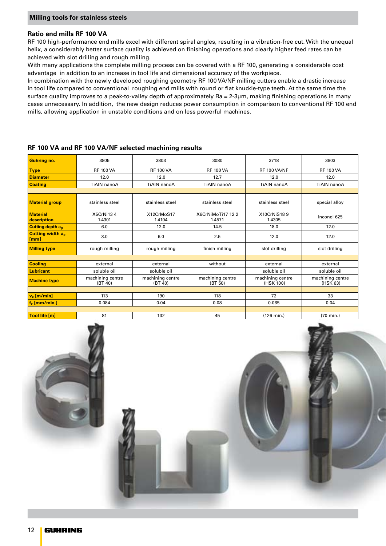# **Ratio end mills RF 100 VA**

RF 100 high-performance end mills excel with different spiral angles, resulting in a vibration-free cut. With the unequal helix, a considerably better surface quality is achieved on finishing operations and clearly higher feed rates can be achieved with slot drilling and rough milling.

With many applications the complete milling process can be covered with a RF 100, generating a considerable cost advantage in addition to an increase in tool life and dimensional accuracy of the workpiece.

In combination with the newly developed roughing geometry RF 100 VA/NF milling cutters enable a drastic increase in tool life compared to conventional roughing end mills with round or flat knuckle-type teeth. At the same time the surface quality improves to a peak-to-valley depth of approximately Ra = 2-3µm, making finishing operations in many cases unnecessary. In addition, the new design reduces power consumption in comparison to conventional RF 100 end mills, allowing application in unstable conditions and on less powerful machines.

| <b>Guhring no.</b>              | 3805                        | 3803                        | 3080                                    | 3718                          | 3803                         |  |  |
|---------------------------------|-----------------------------|-----------------------------|-----------------------------------------|-------------------------------|------------------------------|--|--|
| <b>Type</b>                     | <b>RF 100 VA</b>            | <b>RF 100 VA</b>            | <b>RF 100 VA</b>                        | <b>RF 100 VA/NF</b>           | <b>RF 100 VA</b>             |  |  |
| <b>Diameter</b>                 | 12.0                        | 12.0                        | 12.7                                    | 12.0                          | 12.0                         |  |  |
| <b>Coating</b>                  | TiAIN nanoA                 | TiAIN nanoA                 | <b>TiAIN</b> nanoA                      | TiAIN nanoA                   | TiAIN nanoA                  |  |  |
|                                 |                             |                             |                                         |                               |                              |  |  |
| <b>Material group</b>           | stainless steel             | stainless steel             | stainless steel                         | stainless steel               | special alloy                |  |  |
| <b>Material</b><br>description  | <b>X5CrNi134</b><br>1.4301  | X12CrMoS17<br>1.4104        | X6CrNiMoTi17 12 2<br>1.4571             | X10CrNiS189<br>1.4305         | Inconel 625                  |  |  |
| <b>Cutting depth ap</b>         | 6.0                         | 12.0                        | 14.5                                    | 18.0                          | 12.0                         |  |  |
| <b>Cutting width ae</b><br>[mm] | 3.0                         | 6.0                         | 2.5                                     | 12.0                          | 12.0                         |  |  |
| <b>Milling type</b>             | rough milling               | rough milling               | finish milling                          | slot drilling                 | slot drilling                |  |  |
|                                 |                             |                             |                                         |                               |                              |  |  |
| <b>Cooling</b>                  | external                    | external                    | without                                 | external                      | external                     |  |  |
| <b>Lubricant</b>                | soluble oil                 | soluble oil                 |                                         | soluble oil                   | soluble oil                  |  |  |
| <b>Machine type</b>             | machining centre<br>(BT 40) | machining centre<br>(BT 40) | machining centre<br>(BT <sub>50</sub> ) | machining centre<br>(HSK 100) | machining centre<br>(HSK 63) |  |  |
|                                 |                             |                             |                                         |                               |                              |  |  |
| $v_c$ [m/min]                   | 113                         | 190                         | 118                                     | 72                            | 33                           |  |  |
| $fz$ [mm/min.]                  | 0.084                       | 0.04                        | 0.08                                    | 0.065                         | 0.04                         |  |  |
|                                 |                             |                             |                                         |                               |                              |  |  |
| Tool life [m]                   | 81                          | 132                         | 45                                      | $(126 \text{ min.})$          | (70 min.)                    |  |  |

# **RF 100 VA and RF 100 VA/NF selected machining results**

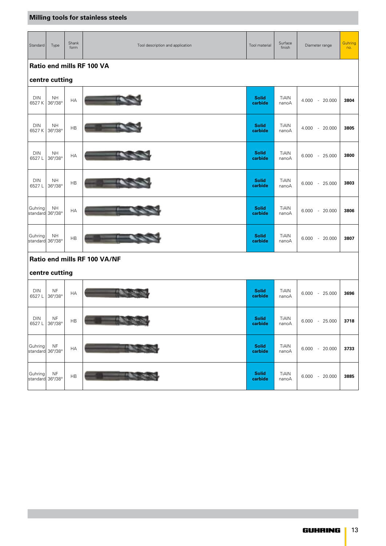| Standard                    | Type                                       | Shank<br>form | Tool description and application | Tool material           | Surface<br>finish     | Diameter range     | Guhring<br>no. |  |  |  |
|-----------------------------|--------------------------------------------|---------------|----------------------------------|-------------------------|-----------------------|--------------------|----------------|--|--|--|
|                             | Ratio end mills RF 100 VA                  |               |                                  |                         |                       |                    |                |  |  |  |
|                             | centre cutting                             |               |                                  |                         |                       |                    |                |  |  |  |
| <b>DIN</b><br>6527K         | <b>NH</b><br>36°/38°                       | HA            |                                  | <b>Solid</b><br>carbide | <b>TiAIN</b><br>nanoA | 4.000 - 20.000     | 3804           |  |  |  |
| <b>DIN</b><br>6527K         | <b>NH</b><br>$36^{\circ}/38^{\circ}$       | HB            |                                  | <b>Solid</b><br>carbide | <b>TiAIN</b><br>nanoA | 4.000 - 20.000     | 3805           |  |  |  |
| <b>DIN</b><br>6527L         | <b>NH</b><br>$36^{\circ}/38^{\circ}$       | HA            |                                  | <b>Solid</b><br>carbide | <b>TiAIN</b><br>nanoA | $6.000 - 25.000$   | 3800           |  |  |  |
| <b>DIN</b><br>6527L         | <b>NH</b><br>$36^{\circ}/38^{\circ}$       | HB            |                                  | <b>Solid</b><br>carbide | <b>TiAIN</b><br>nanoA | $6.000 - 25.000$   | 3803           |  |  |  |
| Guhring<br>standard         | $\mathsf{NH}\,$<br>$36^{\circ}/38^{\circ}$ | HA            |                                  | <b>Solid</b><br>carbide | <b>TiAIN</b><br>nanoA | $6.000 - 20.000$   | 3806           |  |  |  |
| Guhring<br>standard 36°/38° | <b>NH</b>                                  | HB            |                                  | <b>Solid</b><br>carbide | <b>TiAIN</b><br>nanoA | $-20.000$<br>6.000 | 3807           |  |  |  |
|                             |                                            |               | Ratio end mills RF 100 VA/NF     |                         |                       |                    |                |  |  |  |
|                             | centre cutting                             |               |                                  |                         |                       |                    |                |  |  |  |
| <b>DIN</b><br>6527L         | <b>NF</b><br>$36^{\circ}/38^{\circ}$       | HA            |                                  | <b>Solid</b><br>carbide | TiAIN<br>nanoA        | $6.000 - 25.000$   | 3696           |  |  |  |
| DIN<br>6527L                | NF<br>$36^{\circ}/38^{\circ}$              | HB            | <b>TANKS</b>                     | Solid<br>carbide        | TiAIN<br>nanoA        | $6.000 - 25.000$   | 3718           |  |  |  |
| Guhring<br>standard 36°/38° | <b>NF</b>                                  | HA            | 40.00                            | <b>Solid</b><br>carbide | <b>TiAIN</b><br>nanoA | $6.000 - 20.000$   | 3733           |  |  |  |
| Guhring<br>standard 36°/38° | <b>NF</b>                                  | HB            |                                  | <b>Solid</b><br>carbide | <b>TiAIN</b><br>nanoA | $6.000 - 20.000$   | 3885           |  |  |  |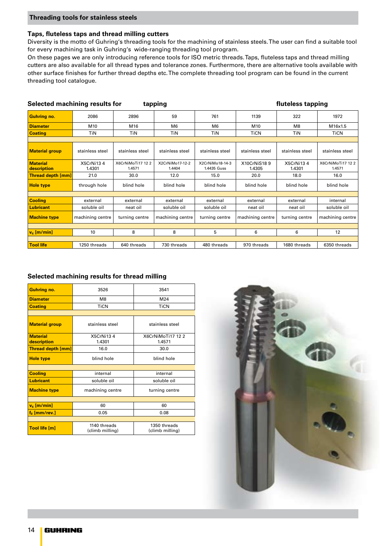# **Threading tools for stainless steels**

#### **Taps, fluteless taps and thread milling cutters**

Diversity is the motto of Guhring's threading tools for the machining of stainless steels. The user can find a suitable tool for every machining task in Guhring's wide-ranging threading tool program.

On these pages we are only introducing reference tools for ISO metric threads. Taps, fluteless taps and thread milling cutters are also available for all thread types and tolerance zones. Furthermore, there are alternative tools available with other surface finishes for further thread depths etc. The complete threading tool program can be found in the current threading tool catalogue.

| Selected machining results for<br>fluteless tapping<br>tapping |                            |                             |                           |                                |                       |                            |                             |  |
|----------------------------------------------------------------|----------------------------|-----------------------------|---------------------------|--------------------------------|-----------------------|----------------------------|-----------------------------|--|
| <b>Guhring no.</b>                                             | 2086                       | 2896                        | 59                        | 761                            | 1139                  | 322                        | 1972                        |  |
| <b>Diameter</b>                                                | M <sub>10</sub>            | M16                         | M6                        | M <sub>6</sub>                 | M <sub>10</sub>       | M8                         | M16x1.5                     |  |
| <b>Coating</b>                                                 | <b>TiN</b>                 | <b>TiN</b>                  | <b>TiN</b>                | <b>TiN</b>                     | <b>TiCN</b>           | <b>TiN</b><br><b>TiCN</b>  |                             |  |
|                                                                |                            |                             |                           |                                |                       |                            |                             |  |
| <b>Material group</b>                                          | stainless steel            | stainless steel             | stainless steel           | stainless steel                | stainless steel       | stainless steel            | stainless steel             |  |
| <b>Material</b><br>description                                 | <b>X5CrNi134</b><br>1.4301 | X6CrNiMoTi17 12 2<br>1.4571 | X2CrNiMo17-12-2<br>1.4404 | X2CrNiMo18-14-3<br>1.4435 Guss | X10CrNiS189<br>1.4305 | <b>X5CrNi134</b><br>1.4301 | X6CrNiMoTi17 12 2<br>1.4571 |  |
| <b>Thread depth [mm]</b>                                       | 21.0                       | 30.0                        | 12.0                      | 15.0                           | 20.0                  | 18.0                       | 16.0                        |  |
| <b>Hole type</b>                                               | through hole               | blind hole                  | blind hole                | blind hole                     | blind hole            | blind hole                 | blind hole                  |  |
|                                                                |                            |                             |                           |                                |                       |                            |                             |  |
| <b>Cooling</b>                                                 | external                   | external                    | external                  | external                       | external              | external                   | internal                    |  |
| <b>Lubricant</b>                                               | soluble oil                | neat oil                    | soluble oil               | soluble oil                    | neat oil              | neat oil                   | soluble oil                 |  |
| <b>Machine type</b>                                            | machining centre           | turning centre              | machining centre          | turning centre                 | machining centre      | turning centre             | machining centre            |  |
|                                                                |                            |                             |                           |                                |                       |                            |                             |  |
| $v_c$ [m/min]                                                  | 10                         | 8                           | 8                         | 5                              | 6                     | 6                          | 12                          |  |
|                                                                |                            |                             |                           |                                |                       |                            |                             |  |
| <b>Tool life</b>                                               | 1250 threads               | 640 threads                 | 730 threads               | 480 threads                    | 970 threads           | 1680 threads               | 6350 threads                |  |

# **Selected machining results for thread milling**

| <b>Guhring no.</b>             | 3526                            | 3541                            |  |  |
|--------------------------------|---------------------------------|---------------------------------|--|--|
| <b>Diameter</b>                | M8                              | M24                             |  |  |
| <b>Coating</b>                 | <b>TiCN</b>                     | <b>TiCN</b>                     |  |  |
|                                |                                 |                                 |  |  |
| <b>Material group</b>          | stainless steel                 | stainless steel                 |  |  |
| <b>Material</b><br>description | X5CrNi134<br>1.4301             | X6CrNiMoTi17 12 2<br>1.4571     |  |  |
| <b>Thread depth [mm]</b>       | 16.0                            | 30.0                            |  |  |
| <b>Hole type</b>               | blind hole                      | blind hole                      |  |  |
|                                |                                 |                                 |  |  |
| <b>Cooling</b>                 | internal                        | internal                        |  |  |
| <b>Lubricant</b>               | soluble oil                     | soluble oil                     |  |  |
| <b>Machine type</b>            | machining centre                | turning centre                  |  |  |
|                                |                                 |                                 |  |  |
| $v_c$ [m/min]                  | 60                              | 60                              |  |  |
| $fz$ [mm/rev.]                 | 0.05                            | 0.08                            |  |  |
|                                |                                 |                                 |  |  |
| Tool life [m]                  | 1140 threads<br>(climb milling) | 1350 threads<br>(climb milling) |  |  |

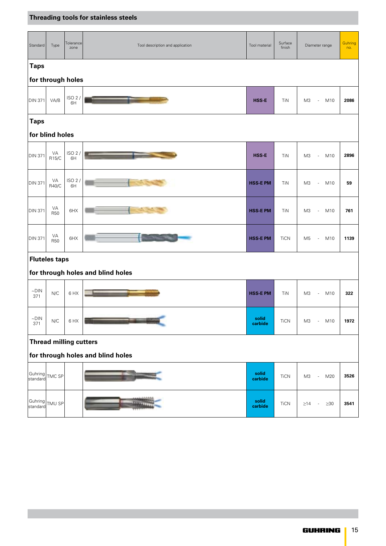# **Threading tools for stainless steels**

| Standard                          | Type                 | Tolerance<br>zone | Tool description and application  | Surface<br>Tool material<br>finish |             | Diameter range                        | Guhring<br>no. |  |  |  |  |
|-----------------------------------|----------------------|-------------------|-----------------------------------|------------------------------------|-------------|---------------------------------------|----------------|--|--|--|--|
| <b>Taps</b>                       |                      |                   |                                   |                                    |             |                                       |                |  |  |  |  |
|                                   | for through holes    |                   |                                   |                                    |             |                                       |                |  |  |  |  |
| <b>DIN 371</b>                    | VA/B                 | ISO 2/<br>6H      |                                   | <b>HSS-E</b>                       | TiN         | M3<br>M10<br>$\overline{\phantom{a}}$ | 2086           |  |  |  |  |
| <b>Taps</b>                       |                      |                   |                                   |                                    |             |                                       |                |  |  |  |  |
|                                   | for blind holes      |                   |                                   |                                    |             |                                       |                |  |  |  |  |
| <b>DIN 371</b>                    | VA<br>R15/C          | ISO 2/<br>6H      |                                   | <b>HSS-E</b>                       | TiN         | M10<br>M3<br>$\overline{\phantom{a}}$ | 2896           |  |  |  |  |
| <b>DIN 371</b>                    | VA<br>R40/C          | ISO 2/<br>6H      |                                   | <b>HSS-EPM</b>                     | TiN         | M3<br>M10<br>$\overline{\phantom{a}}$ | 59             |  |  |  |  |
| <b>DIN 371</b>                    | VA<br>R50            | 6HX               |                                   | <b>HSS-EPM</b>                     | TiN         | M3<br>M10<br>$\overline{\phantom{a}}$ | 761            |  |  |  |  |
| <b>DIN 371</b>                    | VA<br>R50            | 6HX               |                                   | <b>HSS-EPM</b>                     | <b>TiCN</b> | M5<br>$\overline{\phantom{a}}$<br>M10 | 1139           |  |  |  |  |
|                                   | <b>Fluteles taps</b> |                   |                                   |                                    |             |                                       |                |  |  |  |  |
|                                   |                      |                   | for through holes and blind holes |                                    |             |                                       |                |  |  |  |  |
| $\neg$ DIN<br>371                 | N/C                  | 6 HX              |                                   | <b>HSS-EPM</b>                     | TiN         | M3<br>M10<br>$\overline{\phantom{a}}$ | 322            |  |  |  |  |
| 371                               | N/C                  | $6 HX$            |                                   | solid<br>carbide                   | <b>TiCN</b> | M3<br>M10<br>$\overline{\phantom{a}}$ | 1972           |  |  |  |  |
| <b>Thread milling cutters</b>     |                      |                   |                                   |                                    |             |                                       |                |  |  |  |  |
| for through holes and blind holes |                      |                   |                                   |                                    |             |                                       |                |  |  |  |  |
| Guhring<br>standard               | TMC SP               |                   |                                   | solid<br>carbide                   | <b>TiCN</b> | M20<br>M3<br>$\overline{\phantom{a}}$ | 3526           |  |  |  |  |
| Guhring<br>standard               | TMU SP               |                   | <b><i><u>Linuxers</u></i></b>     | solid<br>carbide                   | <b>TiCN</b> | $\geq 30$<br>$\geq$ 14 -              | 3541           |  |  |  |  |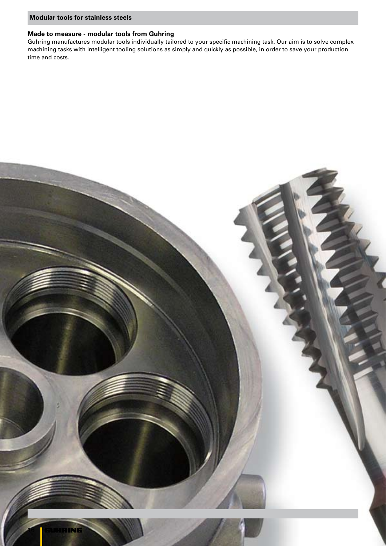# **Made to measure - modular tools from Guhring**

Guhring manufactures modular tools individually tailored to your specific machining task. Our aim is to solve complex machining tasks with intelligent tooling solutions as simply and quickly as possible, in order to save your production time and costs.

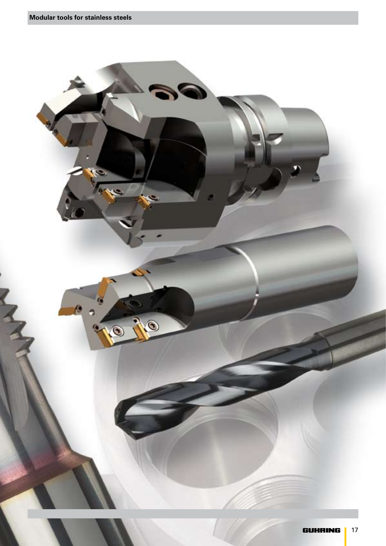